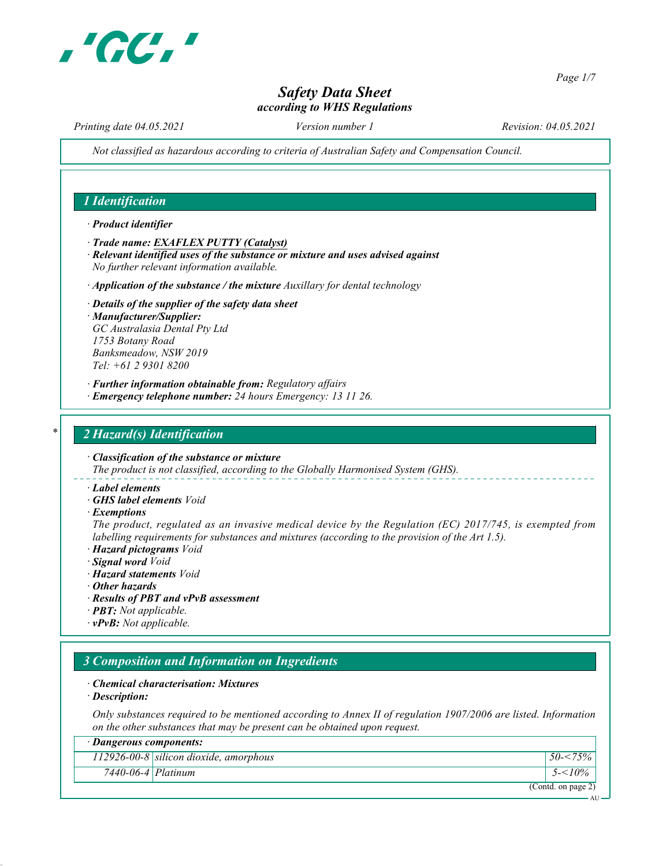

Page 1/7

AU.

# Safety Data Sheet according to WHS Regulations

Printing date 04.05.2021 Version number 1 Revision: 04.05.2021

Not classified as hazardous according to criteria of Australian Safety and Compensation Council.

#### 1 Identification

#### · Product identifier

- · Trade name: EXAFLEX PUTTY (Catalyst)
- · Relevant identified uses of the substance or mixture and uses advised against No further relevant information available.
- $\cdot$  Application of the substance / the mixture Auxillary for dental technology
- · Details of the supplier of the safety data sheet · Manufacturer/Supplier: GC Australasia Dental Pty Ltd 1753 Botany Road Banksmeadow, NSW 2019 Tel: +61 2 9301 8200
- · Further information obtainable from: Regulatory affairs
- · Emergency telephone number: 24 hours Emergency: 13 11 26.

#### 2 Hazard(s) Identification

· Classification of the substance or mixture The product is not classified, according to the Globally Harmonised System (GHS).

- · Label elements
- · GHS label elements Void
- · Exemptions

The product, regulated as an invasive medical device by the Regulation (EC) 2017/745, is exempted from labelling requirements for substances and mixtures (according to the provision of the Art 1.5).

- · Hazard pictograms Void
- · Signal word Void
- · Hazard statements Void
- · Other hazards
- · Results of PBT and vPvB assessment
- · PBT: Not applicable.
- $\cdot$  **vPvB:** Not applicable.

# 3 Composition and Information on Ingredients

#### · Chemical characterisation: Mixtures

· Description:

Only substances required to be mentioned according to Annex II of regulation 1907/2006 are listed. Information on the other substances that may be present can be obtained upon request.

| · Dangerous components:  |                                          |                    |
|--------------------------|------------------------------------------|--------------------|
|                          | $112926-00-8$ silicon dioxide, amorphous | $50 - 575\%$       |
| $7440 - 06 - 4$ Platinum |                                          | $5 - 10\%$         |
|                          |                                          | (Contd. on page 2) |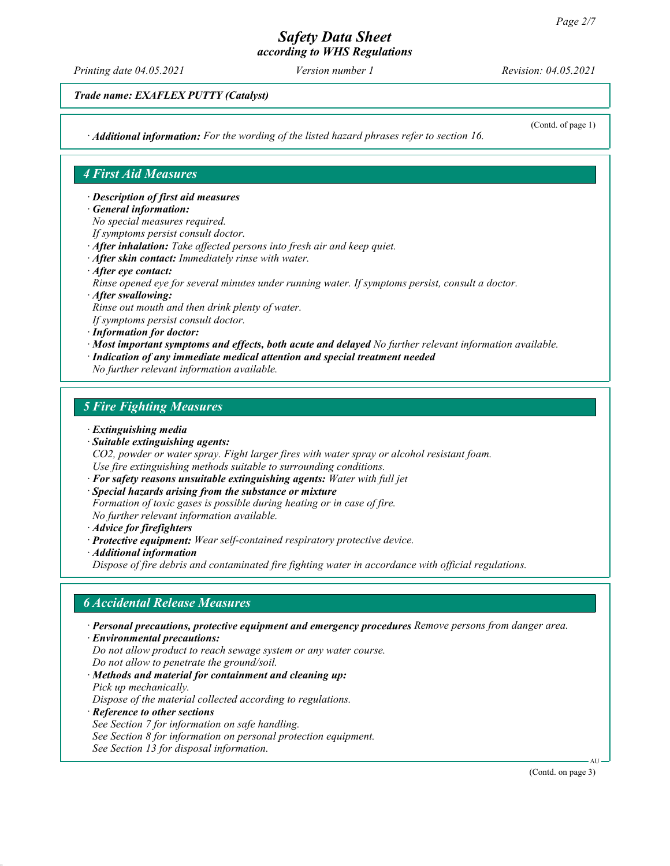# Safety Data Sheet

according to WHS Regulations

Printing date 04.05.2021 Version number 1 Revision: 04.05.2021

Trade name: EXAFLEX PUTTY (Catalyst)

· Additional information: For the wording of the listed hazard phrases refer to section 16.

(Contd. of page 1)

#### 4 First Aid Measures

· Description of first aid measures

- · General information:
- No special measures required.
- If symptoms persist consult doctor.
- · After inhalation: Take affected persons into fresh air and keep quiet.
- · After skin contact: Immediately rinse with water.
- · After eye contact:
- Rinse opened eye for several minutes under running water. If symptoms persist, consult a doctor.
- · After swallowing:

Rinse out mouth and then drink plenty of water.

- If symptoms persist consult doctor.
- · Information for doctor:
- · Most important symptoms and effects, both acute and delayed No further relevant information available.
- · Indication of any immediate medical attention and special treatment needed
- No further relevant information available.

#### 5 Fire Fighting Measures

- · Extinguishing media
- · Suitable extinguishing agents:

CO2, powder or water spray. Fight larger fires with water spray or alcohol resistant foam. Use fire extinguishing methods suitable to surrounding conditions.

- · For safety reasons unsuitable extinguishing agents: Water with full jet
- · Special hazards arising from the substance or mixture
- Formation of toxic gases is possible during heating or in case of fire. No further relevant information available.
- · Advice for firefighters
- · Protective equipment: Wear self-contained respiratory protective device.
- · Additional information

Dispose of fire debris and contaminated fire fighting water in accordance with official regulations.

#### 6 Accidental Release Measures

· Personal precautions, protective equipment and emergency procedures Remove persons from danger area.

- · Environmental precautions:
- Do not allow product to reach sewage system or any water course. Do not allow to penetrate the ground/soil.
- · Methods and material for containment and cleaning up: Pick up mechanically.

Dispose of the material collected according to regulations.

- · Reference to other sections
- See Section 7 for information on safe handling.
- See Section 8 for information on personal protection equipment.
- See Section 13 for disposal information.

(Contd. on page 3)

AU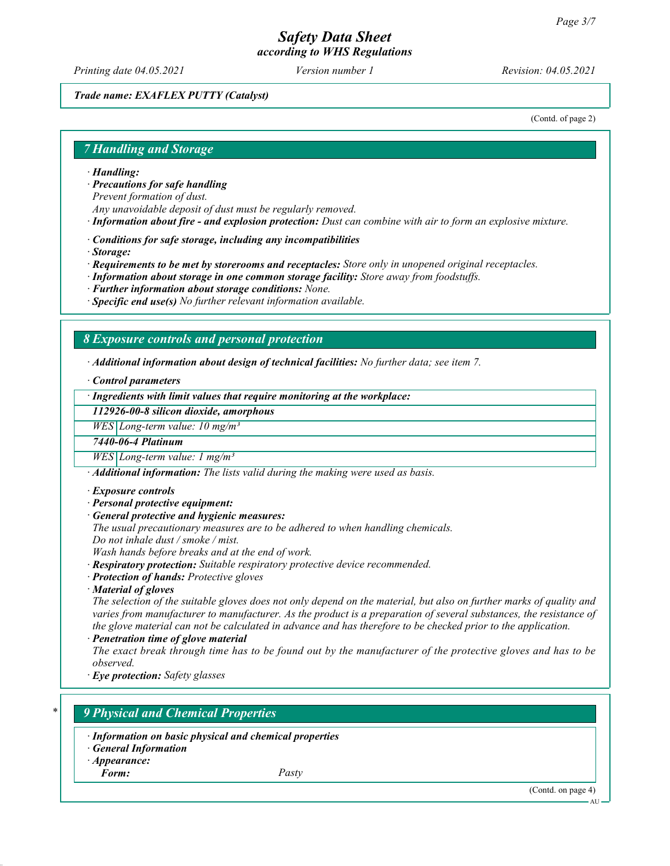Printing date 04.05.2021 Version number 1 Revision: 04.05.2021

#### Trade name: EXAFLEX PUTTY (Catalyst)

(Contd. of page 2)

#### 7 Handling and Storage

- · Handling:
- · Precautions for safe handling

Prevent formation of dust.

- Any unavoidable deposit of dust must be regularly removed.
- · Information about fire and explosion protection: Dust can combine with air to form an explosive mixture.
- · Conditions for safe storage, including any incompatibilities
- · Storage:
- · Requirements to be met by storerooms and receptacles: Store only in unopened original receptacles.
- · Information about storage in one common storage facility: Store away from foodstuffs.
- · Further information about storage conditions: None.
- $\cdot$  Specific end use(s) No further relevant information available.

#### 8 Exposure controls and personal protection

· Additional information about design of technical facilities: No further data; see item 7.

· Control parameters

· Ingredients with limit values that require monitoring at the workplace:

112926-00-8 silicon dioxide, amorphous

 $WES$  Long-term value: 10 mg/m<sup>3</sup>

7440-06-4 Platinum

 $WES$  Long-term value: 1 mg/m<sup>3</sup>

· Additional information: The lists valid during the making were used as basis.

- · Exposure controls
- · Personal protective equipment:
- · General protective and hygienic measures:
- The usual precautionary measures are to be adhered to when handling chemicals. Do not inhale dust / smoke / mist.

Wash hands before breaks and at the end of work.

- · Respiratory protection: Suitable respiratory protective device recommended.
- · Protection of hands: Protective gloves
- · Material of gloves

The selection of the suitable gloves does not only depend on the material, but also on further marks of quality and varies from manufacturer to manufacturer. As the product is a preparation of several substances, the resistance of the glove material can not be calculated in advance and has therefore to be checked prior to the application.

· Penetration time of glove material

The exact break through time has to be found out by the manufacturer of the protective gloves and has to be observed.

· Eye protection: Safety glasses

# 9 Physical and Chemical Properties

- · Information on basic physical and chemical properties
- · General Information
- · Appearance:
- Form: Pasty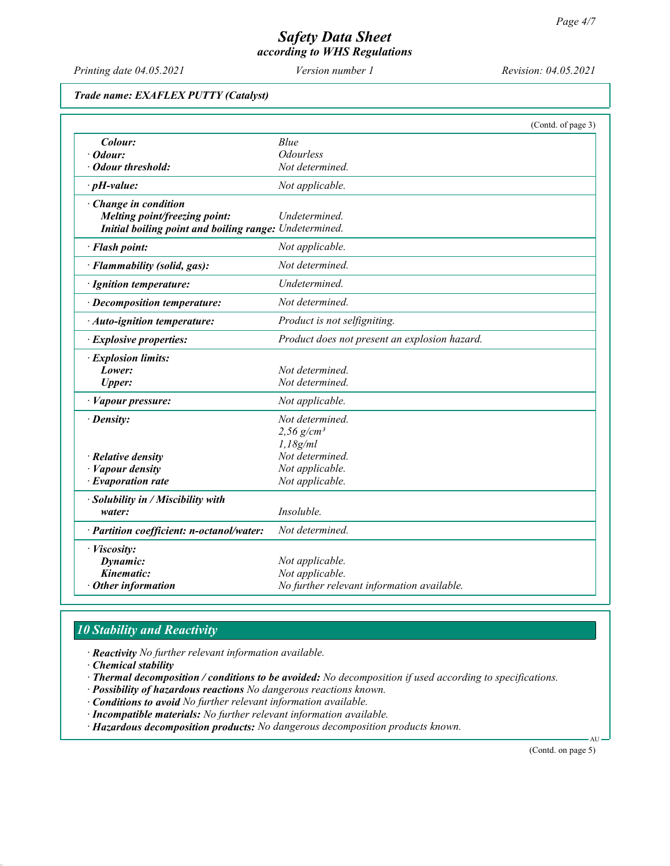Printing date 04.05.2021 Version number 1 Revision: 04.05.2021

#### Trade name: EXAFLEX PUTTY (Catalyst)

|                                                                                                                        |                                                                                  | (Contd. of page 3) |
|------------------------------------------------------------------------------------------------------------------------|----------------------------------------------------------------------------------|--------------------|
| Colour:                                                                                                                | Blue                                                                             |                    |
| $\cdot$ Odour:                                                                                                         | <b>Odourless</b>                                                                 |                    |
| · Odour threshold:                                                                                                     | Not determined.                                                                  |                    |
| $\cdot$ pH-value:                                                                                                      | Not applicable.                                                                  |                    |
| $\cdot$ Change in condition<br>Melting point/freezing point:<br>Initial boiling point and boiling range: Undetermined. | Undetermined.                                                                    |                    |
| · Flash point:                                                                                                         | Not applicable.                                                                  |                    |
| · Flammability (solid, gas):                                                                                           | Not determined.                                                                  |                    |
| · Ignition temperature:                                                                                                | Undetermined.                                                                    |                    |
| $\cdot$ Decomposition temperature:                                                                                     | Not determined.                                                                  |                    |
| · Auto-ignition temperature:                                                                                           | Product is not selfigniting.                                                     |                    |
| · Explosive properties:                                                                                                | Product does not present an explosion hazard.                                    |                    |
| · Explosion limits:                                                                                                    |                                                                                  |                    |
| Lower:                                                                                                                 | Not determined.                                                                  |                    |
| <b>Upper:</b>                                                                                                          | Not determined.                                                                  |                    |
| · Vapour pressure:                                                                                                     | Not applicable.                                                                  |                    |
| $\cdot$ Density:                                                                                                       | Not determined.                                                                  |                    |
|                                                                                                                        | $2,56$ g/cm <sup>3</sup>                                                         |                    |
|                                                                                                                        | 1.18g/ml                                                                         |                    |
| $\cdot$ Relative density                                                                                               | Not determined.                                                                  |                    |
| Vapour density                                                                                                         | Not applicable.                                                                  |                    |
| $\cdot$ Evaporation rate                                                                                               | Not applicable.                                                                  |                    |
| · Solubility in / Miscibility with<br>water:                                                                           | Insoluble.                                                                       |                    |
| · Partition coefficient: n-octanol/water:                                                                              | Not determined.                                                                  |                    |
| · Viscosity:<br>Dynamic:<br>Kinematic:<br>$\cdot$ Other information                                                    | Not applicable.<br>Not applicable.<br>No further relevant information available. |                    |

# 10 Stability and Reactivity

· Reactivity No further relevant information available.

· Chemical stability

· Thermal decomposition / conditions to be avoided: No decomposition if used according to specifications.

· Possibility of hazardous reactions No dangerous reactions known.

· Conditions to avoid No further relevant information available.

· Incompatible materials: No further relevant information available.

· Hazardous decomposition products: No dangerous decomposition products known.

(Contd. on page 5)

AU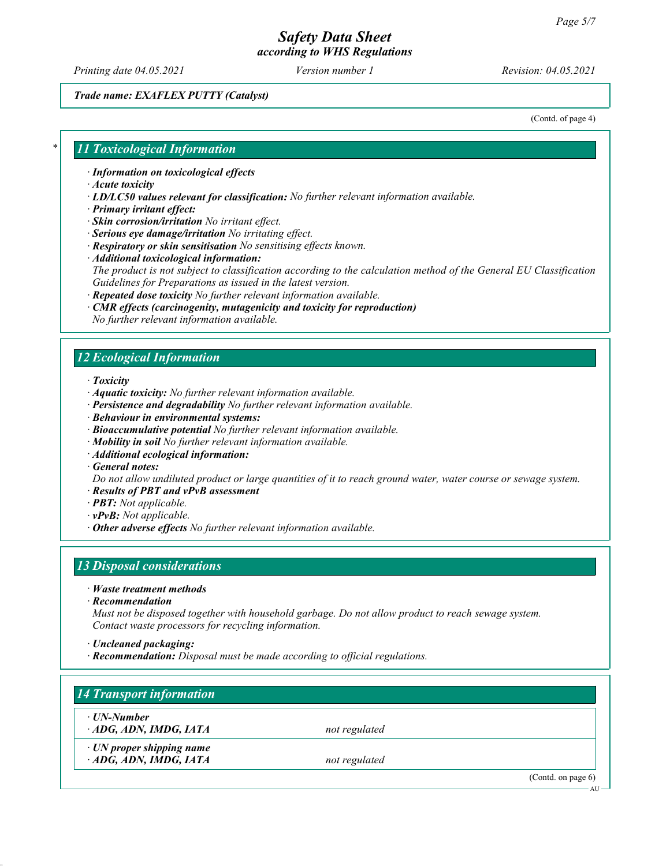Printing date 04.05.2021 Version number 1 Revision: 04.05.2021

#### Trade name: EXAFLEX PUTTY (Catalyst)

(Contd. of page 4)

#### 11 Toxicological Information

· Information on toxicological effects

- · Acute toxicity
- · LD/LC50 values relevant for classification: No further relevant information available.
- · Primary irritant effect:
- · Skin corrosion/irritation No irritant effect.
- · Serious eye damage/irritation No irritating effect.
- · Respiratory or skin sensitisation No sensitising effects known.
- · Additional toxicological information:

The product is not subject to classification according to the calculation method of the General EU Classification Guidelines for Preparations as issued in the latest version.

- · Repeated dose toxicity No further relevant information available.
- · CMR effects (carcinogenity, mutagenicity and toxicity for reproduction)
- No further relevant information available.

## 12 Ecological Information

- · Toxicity
- · Aquatic toxicity: No further relevant information available.
- · Persistence and degradability No further relevant information available.
- · Behaviour in environmental systems:
- · Bioaccumulative potential No further relevant information available.
- · Mobility in soil No further relevant information available.
- · Additional ecological information:
- · General notes:

Do not allow undiluted product or large quantities of it to reach ground water, water course or sewage system.

- · Results of PBT and vPvB assessment
- · PBT: Not applicable.
- · vPvB: Not applicable.
- · Other adverse effects No further relevant information available.

#### 13 Disposal considerations

- · Waste treatment methods
- · Recommendation

Must not be disposed together with household garbage. Do not allow product to reach sewage system. Contact waste processors for recycling information.

- · Uncleaned packaging:
- · Recommendation: Disposal must be made according to official regulations.

| ⋅ UN-Number                     |               |  |
|---------------------------------|---------------|--|
| ADG, ADN, IMDG, IATA            | not regulated |  |
| $\cdot$ UN proper shipping name |               |  |
| ADG, ADN, IMDG, IATA            | not regulated |  |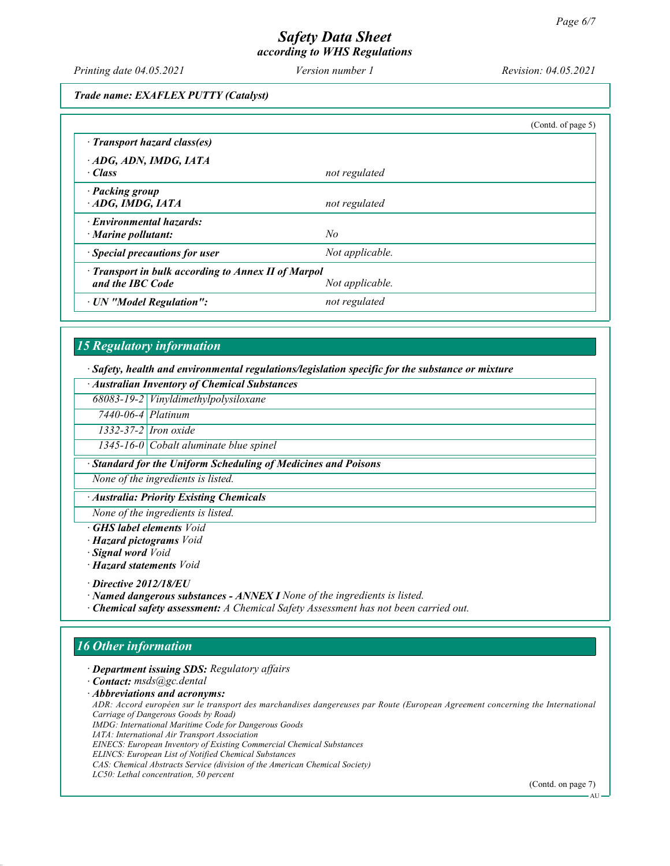Printing date 04.05.2021 Version number 1 Revision: 04.05.2021

#### Trade name: EXAFLEX PUTTY (Catalyst)

|                                                                                            | (Cond. of page 5) |  |
|--------------------------------------------------------------------------------------------|-------------------|--|
| · Transport hazard class(es)                                                               |                   |  |
| ADG, ADN, IMDG, IATA<br>· Class                                                            | not regulated     |  |
| · Packing group<br>ADG, IMDG, IATA                                                         | not regulated     |  |
| · Environmental hazards:<br>$\cdot$ Marine pollutant:                                      | No                |  |
| · Special precautions for user                                                             | Not applicable.   |  |
| · Transport in bulk according to Annex II of Marpol<br>and the IBC Code<br>Not applicable. |                   |  |
| · UN "Model Regulation":                                                                   | not regulated     |  |

# 15 Regulatory information

· Safety, health and environmental regulations/legislation specific for the substance or mixture

| · Australian Inventory of Chemical Substances                  |                                           |  |  |  |
|----------------------------------------------------------------|-------------------------------------------|--|--|--|
|                                                                | 68083-19-2 Vinyldimethylpolysiloxane      |  |  |  |
| $7440 - 06 - 4$ Platinum                                       |                                           |  |  |  |
|                                                                | $\overline{1332}$ -37-2 Iron oxide        |  |  |  |
|                                                                | $1345$ -16-0 Cobalt aluminate blue spinel |  |  |  |
| · Standard for the Uniform Scheduling of Medicines and Poisons |                                           |  |  |  |

None of the ingredients is listed.

· Australia: Priority Existing Chemicals

None of the ingredients is listed.

- · GHS label elements Void
- · Hazard pictograms Void
- · Signal word Void
- · Hazard statements Void

· Directive 2012/18/EU

- · Named dangerous substances ANNEX I None of the ingredients is listed.
- · Chemical safety assessment: A Chemical Safety Assessment has not been carried out.

# 16 Other information

· Department issuing SDS: Regulatory affairs

· Contact: msds@gc.dental

· Abbreviations and acronyms:

ADR: Accord européen sur le transport des marchandises dangereuses par Route (European Agreement concerning the International Carriage of Dangerous Goods by Road)

IMDG: International Maritime Code for Dangerous Goods

- IATA: International Air Transport Association
- EINECS: European Inventory of Existing Commercial Chemical Substances
- ELINCS: European List of Notified Chemical Substances
- CAS: Chemical Abstracts Service (division of the American Chemical Society)

LC50: Lethal concentration, 50 percent

(Contd. on page 7)

AU